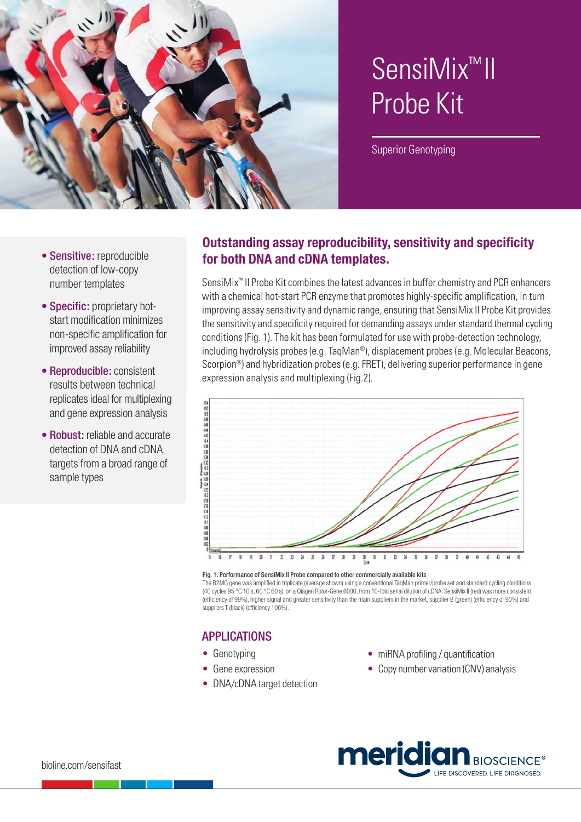

# SensiMix™ II Probe Kit

Superior Genotyping

- Sensitive: reproducible detection of low-copy number templates
- Specific: proprietary hotstart modification minimizes non-specific amplification for improved assay reliability
- Reproducible: consistent results between technical replicates ideal for multiplexing and gene expression analysis
- Robust: reliable and accurate detection of DNA and cDNA targets from a broad range of sample types

## **Outstanding assay reproducibility, sensitivity and specificity for both DNA and cDNA templates.**

SensiMix™ II Probe Kit combines the latest advances in buffer chemistry and PCR enhancers with a chemical hot-start PCR enzyme that promotes highly-specific amplification, in turn improving assay sensitivity and dynamic range, ensuring that SensiMix II Probe Kit provides the sensitivity and specificity required for demanding assays under standard thermal cycling conditions (Fig. 1). The kit has been formulated for use with probe-detection technology, including hydrolysis probes (e.g. TaqMan®), displacement probes (e.g. Molecular Beacons, Scorpion®) and hybridization probes (e.g. FRET), delivering superior performance in gene expression analysis and multiplexing (Fig.2).



#### Fig. 1. Performance of SensiMix II Probe compared to other commercially available kits

The B2MG gene was amplified in triplicate (average shown) using a conventional TaqMan primer/probe set and standard cycling conditions (40 cycles 95 °C 10 s, 60 °C 60 s), on a Qiagen Rotor-Gene 6000, from 10-fold serial dilution of cDNA. SensiMix II (red) was more consistent (efficiency of 99%), higher signal and greater sensitivity than the main suppliers in the market, supplier B (green) (efficiency of 90%) and suppliers T (black) (efficiency 106%).

## APPLICATIONS

- Genotyping
- Gene expression
- DNA/cDNA target detection
- miRNA profiling / quantification
- Copy number variation (CNV) analysis